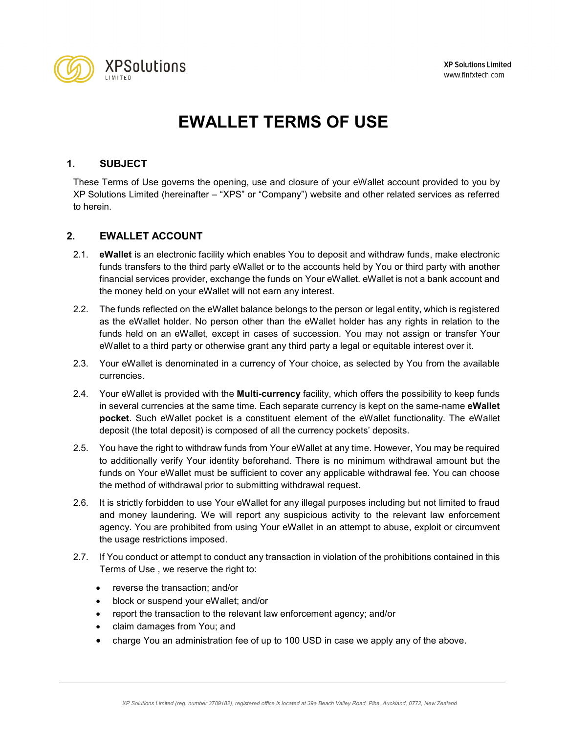

# **EWALLET TERMS OF USE**

# **1. SUBJECT**

These Terms of Use governs the opening, use and closure of your eWallet account provided to you by XP Solutions Limited (hereinafter – "XPS" or "Company") website and other related services as referred to herein.

# **2. EWALLET ACCOUNT**

- 2.1. **eWallet** is an electronic facility which enables You to deposit and withdraw funds, make electronic funds transfers to the third party eWallet or to the accounts held by You or third party with another financial services provider, exchange the funds on Your eWallet. eWallet is not a bank account and the money held on your eWallet will not earn any interest.
- 2.2. The funds reflected on the eWallet balance belongs to the person or legal entity, which is registered as the eWallet holder. No person other than the eWallet holder has any rights in relation to the funds held on an eWallet, except in cases of succession. You may not assign or transfer Your eWallet to a third party or otherwise grant any third party a legal or equitable interest over it.
- 2.3. Your eWallet is denominated in a currency of Your choice, as selected by You from the available currencies.
- 2.4. Your eWallet is provided with the **Multi-currency** facility, which offers the possibility to keep funds in several currencies at the same time. Each separate currency is kept on the same-name **eWallet pocket**. Such eWallet pocket is a constituent element of the eWallet functionality. The eWallet deposit (the total deposit) is composed of all the currency pockets' deposits.
- 2.5. You have the right to withdraw funds from Your eWallet at any time. However, You may be required to additionally verify Your identity beforehand. There is no minimum withdrawal amount but the funds on Your eWallet must be sufficient to cover any applicable withdrawal fee. You can choose the method of withdrawal prior to submitting withdrawal request.
- 2.6. It is strictly forbidden to use Your eWallet for any illegal purposes including but not limited to fraud and money laundering. We will report any suspicious activity to the relevant law enforcement agency. You are prohibited from using Your eWallet in an attempt to abuse, exploit or circumvent the usage restrictions imposed.
- 2.7. If You conduct or attempt to conduct any transaction in violation of the prohibitions contained in this Terms of Use , we reserve the right to:
	- reverse the transaction; and/or
	- block or suspend your eWallet; and/or
	- report the transaction to the relevant law enforcement agency; and/or
	- claim damages from You; and
	- charge You an administration fee of up to 100 USD in case we apply any of the above.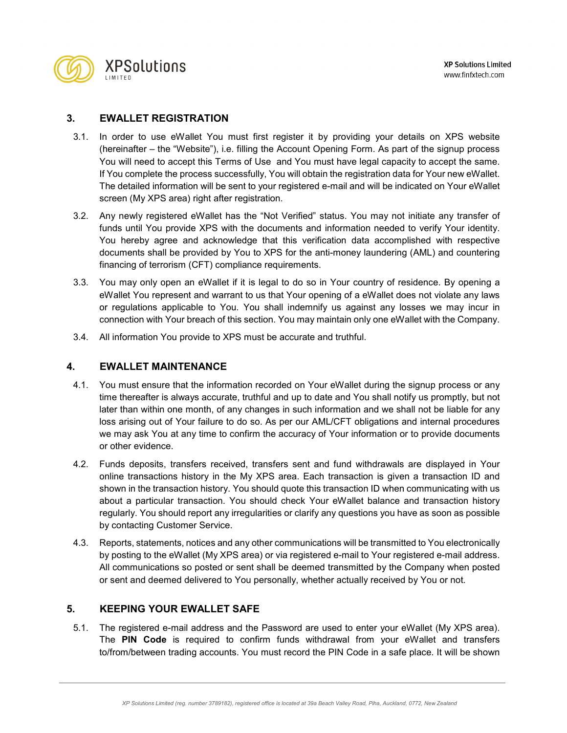

# **3. EWALLET REGISTRATION**

- 3.1. In order to use eWallet You must first register it by providing your details on XPS website (hereinafter – the "Website"), i.e. filling the Account Opening Form. As part of the signup process You will need to accept this Terms of Use and You must have legal capacity to accept the same. If You complete the process successfully, You will obtain the registration data for Your new eWallet. The detailed information will be sent to your registered e-mail and will be indicated on Your eWallet screen (My XPS area) right after registration.
- 3.2. Any newly registered eWallet has the "Not Verified" status. You may not initiate any transfer of funds until You provide XPS with the documents and information needed to verify Your identity. You hereby agree and acknowledge that this verification data accomplished with respective documents shall be provided by You to XPS for the anti-money laundering (AML) and countering financing of terrorism (CFT) compliance requirements.
- 3.3. You may only open an eWallet if it is legal to do so in Your country of residence. By opening a eWallet You represent and warrant to us that Your opening of a eWallet does not violate any laws or regulations applicable to You. You shall indemnify us against any losses we may incur in connection with Your breach of this section. You may maintain only one eWallet with the Company.
- 3.4. All information You provide to XPS must be accurate and truthful.

# **4. EWALLET MAINTENANCE**

- 4.1. You must ensure that the information recorded on Your eWallet during the signup process or any time thereafter is always accurate, truthful and up to date and You shall notify us promptly, but not later than within one month, of any changes in such information and we shall not be liable for any loss arising out of Your failure to do so. As per our AML/CFT obligations and internal procedures we may ask You at any time to confirm the accuracy of Your information or to provide documents or other evidence.
- 4.2. Funds deposits, transfers received, transfers sent and fund withdrawals are displayed in Your online transactions history in the My XPS area. Each transaction is given a transaction ID and shown in the transaction history. You should quote this transaction ID when communicating with us about a particular transaction. You should check Your eWallet balance and transaction history regularly. You should report any irregularities or clarify any questions you have as soon as possible by contacting Customer Service.
- 4.3. Reports, statements, notices and any other communications will be transmitted to You electronically by posting to the eWallet (My XPS area) or via registered e-mail to Your registered e-mail address. All communications so posted or sent shall be deemed transmitted by the Company when posted or sent and deemed delivered to You personally, whether actually received by You or not.

# **5. KEEPING YOUR EWALLET SAFE**

5.1. The registered e-mail address and the Password are used to enter your eWallet (My XPS area). The **PIN Code** is required to confirm funds withdrawal from your eWallet and transfers to/from/between trading accounts. You must record the PIN Code in a safe place. It will be shown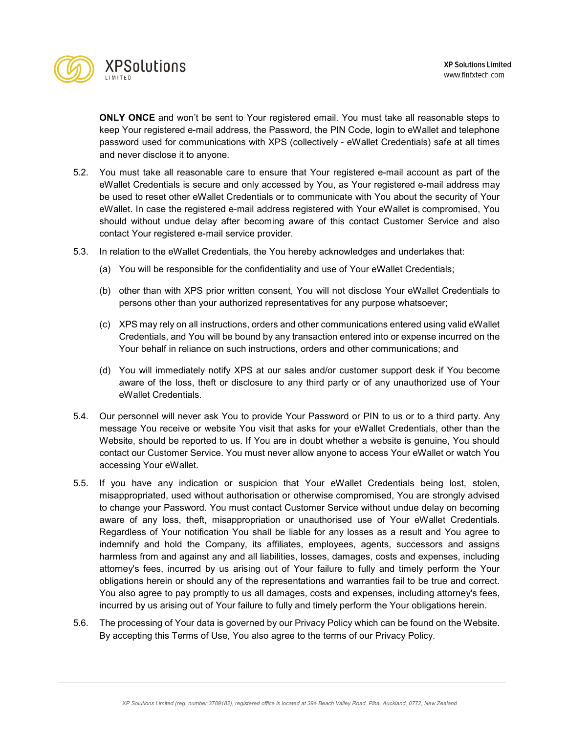

**ONLY ONCE** and won't be sent to Your registered email. You must take all reasonable steps to keep Your registered e-mail address, the Password, the PIN Code, login to eWallet and telephone password used for communications with XPS (collectively - eWallet Credentials) safe at all times and never disclose it to anyone.

- 5.2. You must take all reasonable care to ensure that Your registered e-mail account as part of the eWallet Credentials is secure and only accessed by You, as Your registered e-mail address may be used to reset other eWallet Credentials or to communicate with You about the security of Your eWallet. In case the registered e-mail address registered with Your eWallet is compromised, You should without undue delay after becoming aware of this contact Customer Service and also contact Your registered e-mail service provider.
- 5.3. In relation to the eWallet Credentials, the You hereby acknowledges and undertakes that:
	- (a) You will be responsible for the confidentiality and use of Your eWallet Credentials;
	- (b) other than with XPS prior written consent, You will not disclose Your eWallet Credentials to persons other than your authorized representatives for any purpose whatsoever;
	- (c) XPS may rely on all instructions, orders and other communications entered using valid eWallet Credentials, and You will be bound by any transaction entered into or expense incurred on the Your behalf in reliance on such instructions, orders and other communications; and
	- (d) You will immediately notify XPS at our sales and/or customer support desk if You become aware of the loss, theft or disclosure to any third party or of any unauthorized use of Your eWallet Credentials.
- 5.4. Our personnel will never ask You to provide Your Password or PIN to us or to a third party. Any message You receive or website You visit that asks for your eWallet Credentials, other than the Website, should be reported to us. If You are in doubt whether a website is genuine, You should contact our Customer Service. You must never allow anyone to access Your eWallet or watch You accessing Your eWallet.
- 5.5. If you have any indication or suspicion that Your eWallet Credentials being lost, stolen, misappropriated, used without authorisation or otherwise compromised, You are strongly advised to change your Password. You must contact Customer Service without undue delay on becoming aware of any loss, theft, misappropriation or unauthorised use of Your eWallet Credentials. Regardless of Your notification You shall be liable for any losses as a result and You agree to indemnify and hold the Company, its affiliates, employees, agents, successors and assigns harmless from and against any and all liabilities, losses, damages, costs and expenses, including attorney's fees, incurred by us arising out of Your failure to fully and timely perform the Your obligations herein or should any of the representations and warranties fail to be true and correct. You also agree to pay promptly to us all damages, costs and expenses, including attorney's fees, incurred by us arising out of Your failure to fully and timely perform the Your obligations herein.
- 5.6. The processing of Your data is governed by our Privacy Policy which can be found on the Website. By accepting this Terms of Use, You also agree to the terms of our Privacy Policy.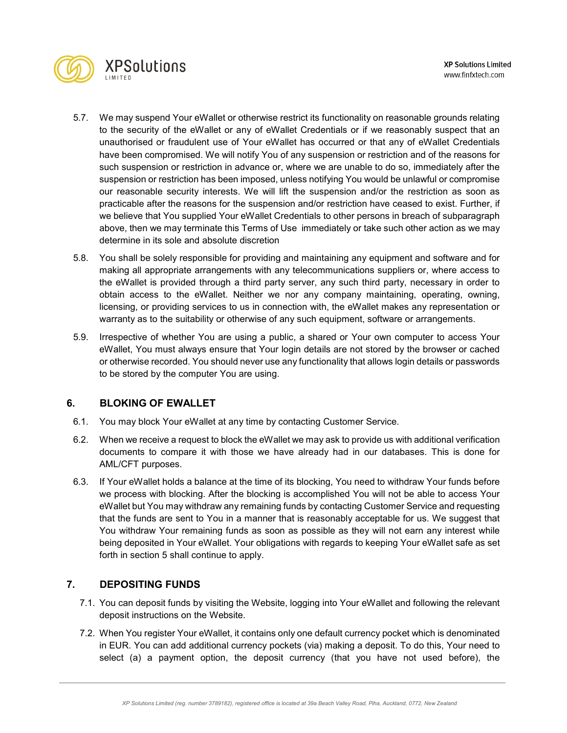



- 5.7. We may suspend Your eWallet or otherwise restrict its functionality on reasonable grounds relating to the security of the eWallet or any of eWallet Credentials or if we reasonably suspect that an unauthorised or fraudulent use of Your eWallet has occurred or that any of eWallet Credentials have been compromised. We will notify You of any suspension or restriction and of the reasons for such suspension or restriction in advance or, where we are unable to do so, immediately after the suspension or restriction has been imposed, unless notifying You would be unlawful or compromise our reasonable security interests. We will lift the suspension and/or the restriction as soon as practicable after the reasons for the suspension and/or restriction have ceased to exist. Further, if we believe that You supplied Your eWallet Credentials to other persons in breach of subparagraph above, then we may terminate this Terms of Use immediately or take such other action as we may determine in its sole and absolute discretion
- 5.8. You shall be solely responsible for providing and maintaining any equipment and software and for making all appropriate arrangements with any telecommunications suppliers or, where access to the eWallet is provided through a third party server, any such third party, necessary in order to obtain access to the eWallet. Neither we nor any company maintaining, operating, owning, licensing, or providing services to us in connection with, the eWallet makes any representation or warranty as to the suitability or otherwise of any such equipment, software or arrangements.
- 5.9. Irrespective of whether You are using a public, a shared or Your own computer to access Your eWallet, You must always ensure that Your login details are not stored by the browser or cached or otherwise recorded. You should never use any functionality that allows login details or passwords to be stored by the computer You are using.

# **6. BLOKING OF EWALLET**

- 6.1. You may block Your eWallet at any time by contacting Customer Service.
- 6.2. When we receive a request to block the eWallet we may ask to provide us with additional verification documents to compare it with those we have already had in our databases. This is done for AML/CFT purposes.
- 6.3. If Your eWallet holds a balance at the time of its blocking, You need to withdraw Your funds before we process with blocking. After the blocking is accomplished You will not be able to access Your eWallet but You may withdraw any remaining funds by contacting Customer Service and requesting that the funds are sent to You in a manner that is reasonably acceptable for us. We suggest that You withdraw Your remaining funds as soon as possible as they will not earn any interest while being deposited in Your eWallet. Your obligations with regards to keeping Your eWallet safe as set forth in section 5 shall continue to apply.

# **7. DEPOSITING FUNDS**

- 7.1. You can deposit funds by visiting the Website, logging into Your eWallet and following the relevant deposit instructions on the Website.
- 7.2. When You register Your eWallet, it contains only one default currency pocket which is denominated in EUR. You can add additional currency pockets (via) making a deposit. To do this, Your need to select (a) a payment option, the deposit currency (that you have not used before), the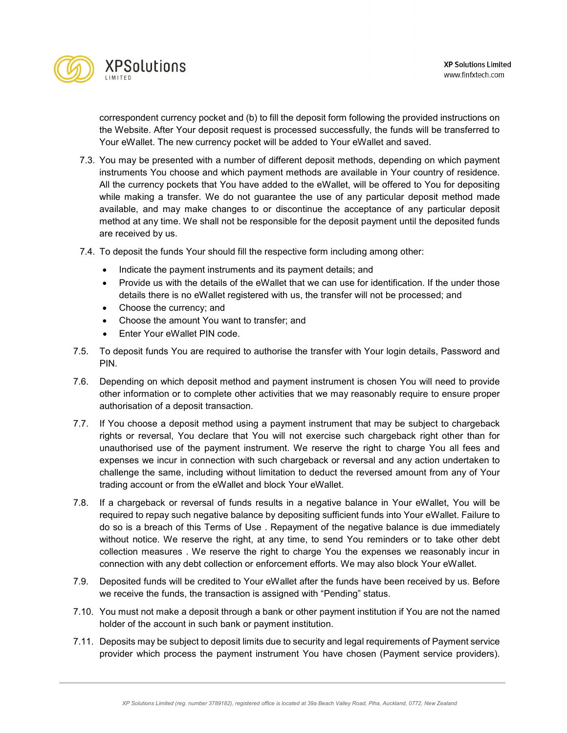

correspondent currency pocket and (b) to fill the deposit form following the provided instructions on the Website. After Your deposit request is processed successfully, the funds will be transferred to Your eWallet. The new currency pocket will be added to Your eWallet and saved.

- 7.3. You may be presented with a number of different deposit methods, depending on which payment instruments You choose and which payment methods are available in Your country of residence. All the currency pockets that You have added to the eWallet, will be offered to You for depositing while making a transfer. We do not guarantee the use of any particular deposit method made available, and may make changes to or discontinue the acceptance of any particular deposit method at any time. We shall not be responsible for the deposit payment until the deposited funds are received by us.
- 7.4. To deposit the funds Your should fill the respective form including among other:
	- Indicate the payment instruments and its payment details; and
	- Provide us with the details of the eWallet that we can use for identification. If the under those details there is no eWallet registered with us, the transfer will not be processed; and
	- Choose the currency; and
	- Choose the amount You want to transfer; and
	- Enter Your eWallet PIN code.
- 7.5. To deposit funds You are required to authorise the transfer with Your login details, Password and PIN.
- 7.6. Depending on which deposit method and payment instrument is chosen You will need to provide other information or to complete other activities that we may reasonably require to ensure proper authorisation of a deposit transaction.
- 7.7. If You choose a deposit method using a payment instrument that may be subject to chargeback rights or reversal, You declare that You will not exercise such chargeback right other than for unauthorised use of the payment instrument. We reserve the right to charge You all fees and expenses we incur in connection with such chargeback or reversal and any action undertaken to challenge the same, including without limitation to deduct the reversed amount from any of Your trading account or from the eWallet and block Your eWallet.
- 7.8. If a chargeback or reversal of funds results in a negative balance in Your eWallet, You will be required to repay such negative balance by depositing sufficient funds into Your eWallet. Failure to do so is a breach of this Terms of Use . Repayment of the negative balance is due immediately without notice. We reserve the right, at any time, to send You reminders or to take other debt collection measures . We reserve the right to charge You the expenses we reasonably incur in connection with any debt collection or enforcement efforts. We may also block Your eWallet.
- 7.9. Deposited funds will be credited to Your eWallet after the funds have been received by us. Before we receive the funds, the transaction is assigned with "Pending" status.
- 7.10. You must not make a deposit through a bank or other payment institution if You are not the named holder of the account in such bank or payment institution.
- 7.11. Deposits may be subject to deposit limits due to security and legal requirements of Payment service provider which process the payment instrument You have chosen (Payment service providers).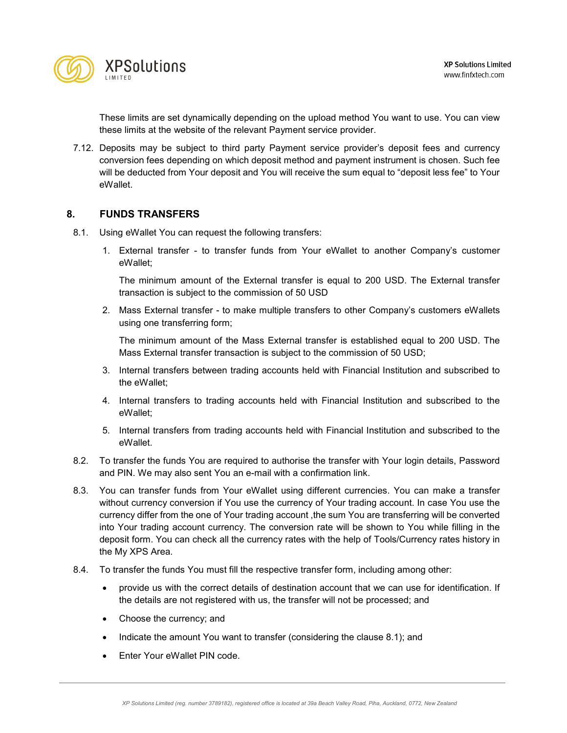These limits are set dynamically depending on the upload method You want to use. You can view these limits at the website of the relevant Payment service provider.

7.12. Deposits may be subject to third party Payment service provider's deposit fees and currency conversion fees depending on which deposit method and payment instrument is chosen. Such fee will be deducted from Your deposit and You will receive the sum equal to "deposit less fee" to Your eWallet.

# **8. FUNDS TRANSFERS**

- 8.1. Using eWallet You can request the following transfers:
	- 1. External transfer to transfer funds from Your eWallet to another Company's customer eWallet;

The minimum amount of the External transfer is equal to 200 USD. The External transfer transaction is subject to the commission of 50 USD

2. Mass External transfer - to make multiple transfers to other Company's customers eWallets using one transferring form;

The minimum amount of the Mass External transfer is established equal to 200 USD. The Mass External transfer transaction is subject to the commission of 50 USD;

- 3. Internal transfers between trading accounts held with Financial Institution and subscribed to the eWallet;
- 4. Internal transfers to trading accounts held with Financial Institution and subscribed to the eWallet;
- 5. Internal transfers from trading accounts held with Financial Institution and subscribed to the eWallet.
- 8.2. To transfer the funds You are required to authorise the transfer with Your login details, Password and PIN. We may also sent You an e-mail with a confirmation link.
- 8.3. You can transfer funds from Your eWallet using different currencies. You can make a transfer without currency conversion if You use the currency of Your trading account. In case You use the currency differ from the one of Your trading account ,the sum You are transferring will be converted into Your trading account currency. The conversion rate will be shown to You while filling in the deposit form. You can check all the currency rates with the help of [Tools/Currency rates history](http://cabinet.fxopen.com/Utils/CurrencyRatesHistory.aspx) in the My XPS Area.
- 8.4. To transfer the funds You must fill the respective transfer form, including among other:
	- provide us with the correct details of destination account that we can use for identification. If the details are not registered with us, the transfer will not be processed; and
	- Choose the currency; and
	- Indicate the amount You want to transfer (considering the clause 8.1); and
	- Enter Your eWallet PIN code.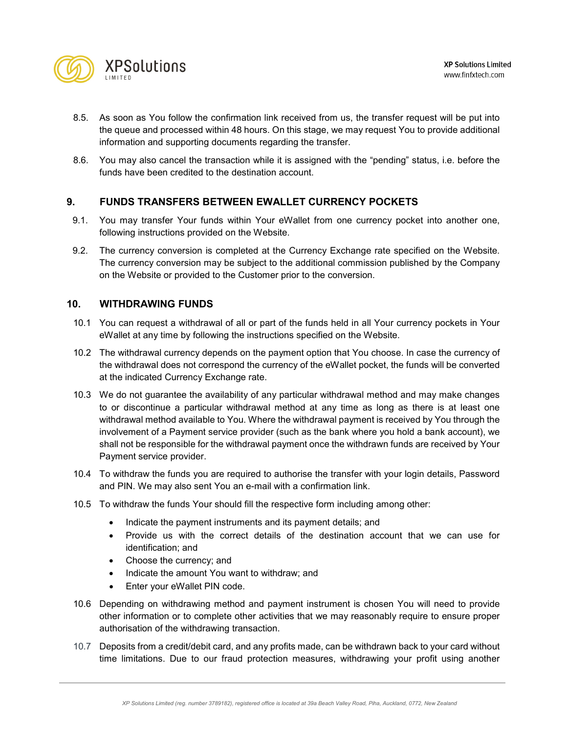

- 8.5. As soon as You follow the confirmation link received from us, the transfer request will be put into the queue and processed within 48 hours. On this stage, we may request You to provide additional information and supporting documents regarding the transfer.
- 8.6. You may also cancel the transaction while it is assigned with the "pending" status, i.e. before the funds have been credited to the destination account.

# **9. FUNDS TRANSFERS BETWEEN EWALLET CURRENCY POCKETS**

- 9.1. You may transfer Your funds within Your eWallet from one currency pocket into another one, following instructions provided on the Website.
- 9.2. The currency conversion is completed at the [Currency Exchange rate](http://cabinet.fxopen.com/Utils/CurrencyRatesHistory.aspx) specified on the Website. The currency conversion may be subject to the additional commission published by the Company on the Website or provided to the Customer prior to the conversion.

#### **10. WITHDRAWING FUNDS**

- 10.1 You can request a withdrawal of all or part of the funds held in all Your currency pockets in Your eWallet at any time by following the instructions specified on the Website.
- 10.2 The withdrawal currency depends on the payment option that You choose. In case the currency of the withdrawal does not correspond the currency of the eWallet pocket, the funds will be converted at the indicated Currency Exchange rate.
- 10.3 We do not guarantee the availability of any particular withdrawal method and may make changes to or discontinue a particular withdrawal method at any time as long as there is at least one withdrawal method available to You. Where the withdrawal payment is received by You through the involvement of a Payment service provider (such as the bank where you hold a bank account), we shall not be responsible for the withdrawal payment once the withdrawn funds are received by Your Payment service provider.
- 10.4 To withdraw the funds you are required to authorise the transfer with your login details, Password and PIN. We may also sent You an e-mail with a confirmation link.
- 10.5 To withdraw the funds Your should fill the respective form including among other:
	- Indicate the payment instruments and its payment details; and
	- Provide us with the correct details of the destination account that we can use for identification; and
	- Choose the currency; and
	- Indicate the amount You want to withdraw; and
	- Enter your eWallet PIN code.
- 10.6 Depending on withdrawing method and payment instrument is chosen You will need to provide other information or to complete other activities that we may reasonably require to ensure proper authorisation of the withdrawing transaction.
- 10.7 Deposits from a credit/debit card, and any profits made, can be withdrawn back to your card without time limitations. Due to our fraud protection measures, withdrawing your profit using another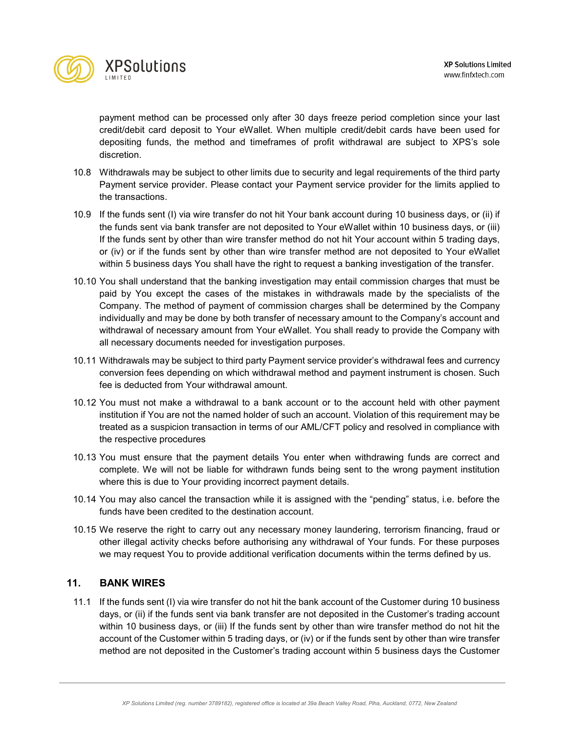

payment method can be processed only after 30 days freeze period completion since your last credit/debit card deposit to Your eWallet. When multiple credit/debit cards have been used for depositing funds, the method and timeframes of profit withdrawal are subject to XPS's sole discretion.

- 10.8 Withdrawals may be subject to other limits due to security and legal requirements of the third party Payment service provider. Please contact your Payment service provider for the limits applied to the transactions.
- 10.9 If the funds sent (I) via wire transfer do not hit Your bank account during 10 business days, or (ii) if the funds sent via bank transfer are not deposited to Your eWallet within 10 business days, or (iii) If the funds sent by other than wire transfer method do not hit Your account within 5 trading days, or (iv) or if the funds sent by other than wire transfer method are not deposited to Your eWallet within 5 business days You shall have the right to request a banking investigation of the transfer.
- 10.10 You shall understand that the banking investigation may entail commission charges that must be paid by You except the cases of the mistakes in withdrawals made by the specialists of the Company. The method of payment of commission charges shall be determined by the Company individually and may be done by both transfer of necessary amount to the Company's account and withdrawal of necessary amount from Your eWallet. You shall ready to provide the Company with all necessary documents needed for investigation purposes.
- 10.11 Withdrawals may be subject to third party Payment service provider's withdrawal fees and currency conversion fees depending on which withdrawal method and payment instrument is chosen. Such fee is deducted from Your withdrawal amount.
- 10.12 You must not make a withdrawal to a bank account or to the account held with other payment institution if You are not the named holder of such an account. Violation of this requirement may be treated as a suspicion transaction in terms of our AML/CFT policy and resolved in compliance with the respective procedures
- 10.13 You must ensure that the payment details You enter when withdrawing funds are correct and complete. We will not be liable for withdrawn funds being sent to the wrong payment institution where this is due to Your providing incorrect payment details.
- 10.14 You may also cancel the transaction while it is assigned with the "pending" status, i.e. before the funds have been credited to the destination account.
- 10.15 We reserve the right to carry out any necessary money laundering, terrorism financing, fraud or other illegal activity checks before authorising any withdrawal of Your funds. For these purposes we may request You to provide additional verification documents within the terms defined by us.

# **11. BANK WIRES**

11.1 If the funds sent (I) via wire transfer do not hit the bank account of the Customer during 10 business days, or (ii) if the funds sent via bank transfer are not deposited in the Customer's trading account within 10 business days, or (iii) If the funds sent by other than wire transfer method do not hit the account of the Customer within 5 trading days, or (iv) or if the funds sent by other than wire transfer method are not deposited in the Customer's trading account within 5 business days the Customer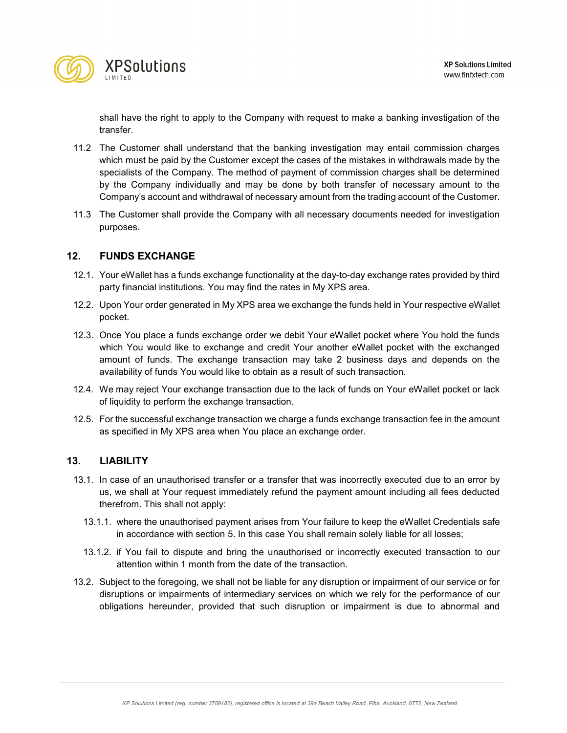

shall have the right to apply to the Company with request to make a banking investigation of the transfer.

- 11.2 The Customer shall understand that the banking investigation may entail commission charges which must be paid by the Customer except the cases of the mistakes in withdrawals made by the specialists of the Company. The method of payment of commission charges shall be determined by the Company individually and may be done by both transfer of necessary amount to the Company's account and withdrawal of necessary amount from the trading account of the Customer.
- 11.3 The Customer shall provide the Company with all necessary documents needed for investigation purposes.

# **12. FUNDS EXCHANGE**

- 12.1. Your eWallet has a funds exchange functionality at the day-to-day exchange rates provided by third party financial institutions. You may find the rates in My XPS area.
- 12.2. Upon Your order generated in My XPS area we exchange the funds held in Your respective eWallet pocket.
- 12.3. Once You place a funds exchange order we debit Your eWallet pocket where You hold the funds which You would like to exchange and credit Your another eWallet pocket with the exchanged amount of funds. The exchange transaction may take 2 business days and depends on the availability of funds You would like to obtain as a result of such transaction.
- 12.4. We may reject Your exchange transaction due to the lack of funds on Your eWallet pocket or lack of liquidity to perform the exchange transaction.
- 12.5. For the successful exchange transaction we charge a funds exchange transaction fee in the amount as specified in My XPS area when You place an exchange order.

#### **13. LIABILITY**

- 13.1. In case of an unauthorised transfer or a transfer that was incorrectly executed due to an error by us, we shall at Your request immediately refund the payment amount including all fees deducted therefrom. This shall not apply:
	- 13.1.1. where the unauthorised payment arises from Your failure to keep the eWallet Credentials safe in accordance with section 5. In this case You shall remain solely liable for all losses;
	- 13.1.2. if You fail to dispute and bring the unauthorised or incorrectly executed transaction to our attention within 1 month from the date of the transaction.
- 13.2. Subject to the foregoing, we shall not be liable for any disruption or impairment of our service or for disruptions or impairments of intermediary services on which we rely for the performance of our obligations hereunder, provided that such disruption or impairment is due to abnormal and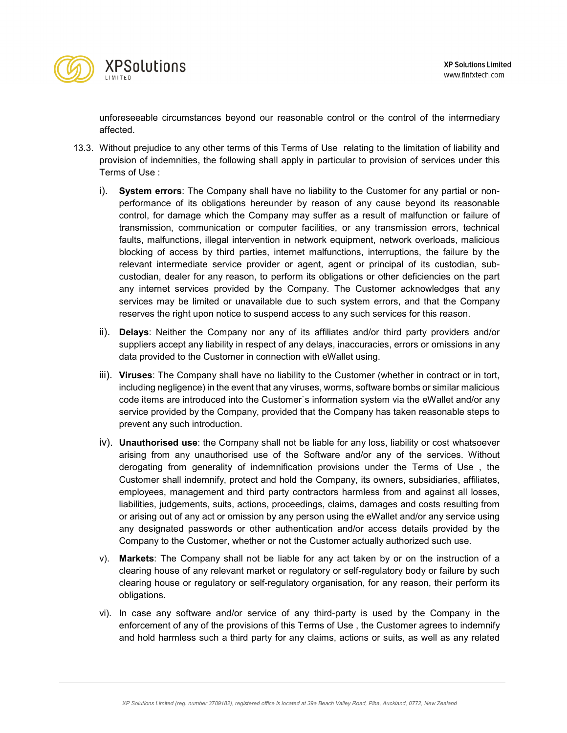

unforeseeable circumstances beyond our reasonable control or the control of the intermediary affected.

- 13.3. Without prejudice to any other terms of this Terms of Use relating to the limitation of liability and provision of indemnities, the following shall apply in particular to provision of services under this Terms of Use :
	- i). **System errors**: The Company shall have no liability to the Customer for any partial or nonperformance of its obligations hereunder by reason of any cause beyond its reasonable control, for damage which the Company may suffer as a result of malfunction or failure of transmission, communication or computer facilities, or any transmission errors, technical faults, malfunctions, illegal intervention in network equipment, network overloads, malicious blocking of access by third parties, internet malfunctions, interruptions, the failure by the relevant intermediate service provider or agent, agent or principal of its custodian, subcustodian, dealer for any reason, to perform its obligations or other deficiencies on the part any internet services provided by the Company. The Customer acknowledges that any services may be limited or unavailable due to such system errors, and that the Company reserves the right upon notice to suspend access to any such services for this reason.
	- ii). **Delays**: Neither the Company nor any of its affiliates and/or third party providers and/or suppliers accept any liability in respect of any delays, inaccuracies, errors or omissions in any data provided to the Customer in connection with eWallet using.
	- iii). **Viruses**: The Company shall have no liability to the Customer (whether in contract or in tort, including negligence) in the event that any viruses, worms, software bombs or similar malicious code items are introduced into the Customer`s information system via the eWallet and/or any service provided by the Company, provided that the Company has taken reasonable steps to prevent any such introduction.
	- iv). **Unauthorised use**: the Company shall not be liable for any loss, liability or cost whatsoever arising from any unauthorised use of the Software and/or any of the services. Without derogating from generality of indemnification provisions under the Terms of Use , the Customer shall indemnify, protect and hold the Company, its owners, subsidiaries, affiliates, employees, management and third party contractors harmless from and against all losses, liabilities, judgements, suits, actions, proceedings, claims, damages and costs resulting from or arising out of any act or omission by any person using the eWallet and/or any service using any designated passwords or other authentication and/or access details provided by the Company to the Customer, whether or not the Customer actually authorized such use.
	- v). **Markets**: The Company shall not be liable for any act taken by or on the instruction of a clearing house of any relevant market or regulatory or self-regulatory body or failure by such clearing house or regulatory or self-regulatory organisation, for any reason, their perform its obligations.
	- vi). In case any software and/or service of any third-party is used by the Company in the enforcement of any of the provisions of this Terms of Use , the Customer agrees to indemnify and hold harmless such a third party for any claims, actions or suits, as well as any related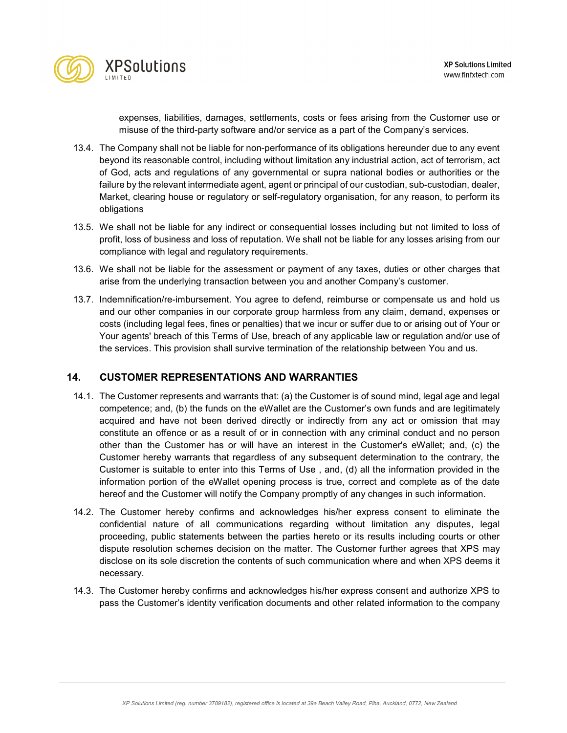

expenses, liabilities, damages, settlements, costs or fees arising from the Customer use or misuse of the third-party software and/or service as a part of the Company's services.

- 13.4. The Company shall not be liable for non-performance of its obligations hereunder due to any event beyond its reasonable control, including without limitation any industrial action, act of terrorism, act of God, acts and regulations of any governmental or supra national bodies or authorities or the failure by the relevant intermediate agent, agent or principal of our custodian, sub-custodian, dealer, Market, clearing house or regulatory or self-regulatory organisation, for any reason, to perform its obligations
- 13.5. We shall not be liable for any indirect or consequential losses including but not limited to loss of profit, loss of business and loss of reputation. We shall not be liable for any losses arising from our compliance with legal and regulatory requirements.
- 13.6. We shall not be liable for the assessment or payment of any taxes, duties or other charges that arise from the underlying transaction between you and another Company's customer.
- 13.7. Indemnification/re-imbursement. You agree to defend, reimburse or compensate us and hold us and our other companies in our corporate group harmless from any claim, demand, expenses or costs (including legal fees, fines or penalties) that we incur or suffer due to or arising out of Your or Your agents' breach of this Terms of Use, breach of any applicable law or regulation and/or use of the services. This provision shall survive termination of the relationship between You and us.

# **14. CUSTOMER REPRESENTATIONS AND WARRANTIES**

- 14.1. The Customer represents and warrants that: (a) the Customer is of sound mind, legal age and legal competence; and, (b) the funds on the eWallet are the Customer's own funds and are legitimately acquired and have not been derived directly or indirectly from any act or omission that may constitute an offence or as a result of or in connection with any criminal conduct and no person other than the Customer has or will have an interest in the Customer's eWallet; and, (c) the Customer hereby warrants that regardless of any subsequent determination to the contrary, the Customer is suitable to enter into this Terms of Use , and, (d) all the information provided in the information portion of the eWallet opening process is true, correct and complete as of the date hereof and the Customer will notify the Company promptly of any changes in such information.
- 14.2. The Customer hereby confirms and acknowledges his/her express consent to eliminate the confidential nature of all communications regarding without limitation any disputes, legal proceeding, public statements between the parties hereto or its results including courts or other dispute resolution schemes decision on the matter. The Customer further agrees that XPS may disclose on its sole discretion the contents of such communication where and when XPS deems it necessary.
- 14.3. The Customer hereby confirms and acknowledges his/her express consent and authorize XPS to pass the Customer's identity verification documents and other related information to the company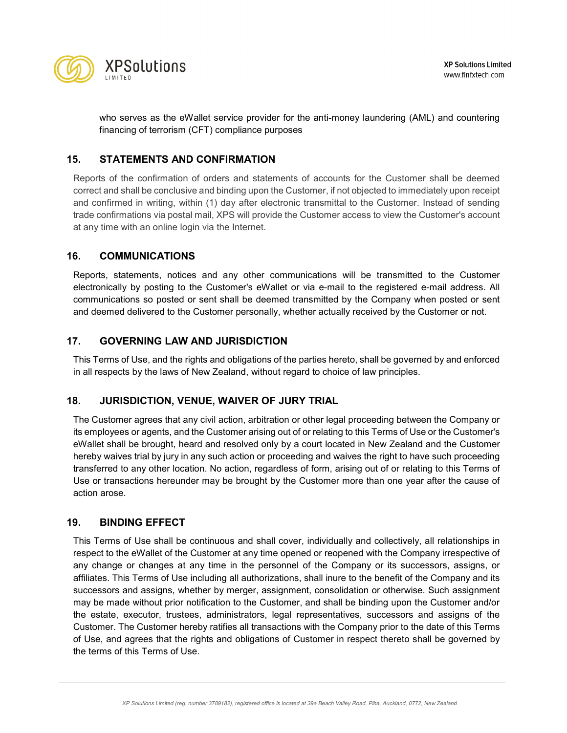

who serves as the eWallet service provider for the anti-money laundering (AML) and countering financing of terrorism (CFT) compliance purposes

# **15. STATEMENTS AND CONFIRMATION**

Reports of the confirmation of orders and statements of accounts for the Customer shall be deemed correct and shall be conclusive and binding upon the Customer, if not objected to immediately upon receipt and confirmed in writing, within (1) day after electronic transmittal to the Customer. Instead of sending trade confirmations via postal mail, XPS will provide the Customer access to view the Customer's account at any time with an online login via the Internet.

# **16. COMMUNICATIONS**

Reports, statements, notices and any other communications will be transmitted to the Customer electronically by posting to the Customer's eWallet or via e-mail to the registered e-mail address. All communications so posted or sent shall be deemed transmitted by the Company when posted or sent and deemed delivered to the Customer personally, whether actually received by the Customer or not.

# **17. GOVERNING LAW AND JURISDICTION**

This Terms of Use, and the rights and obligations of the parties hereto, shall be governed by and enforced in all respects by the laws of New Zealand, without regard to choice of law principles.

# **18. JURISDICTION, VENUE, WAIVER OF JURY TRIAL**

The Customer agrees that any civil action, arbitration or other legal proceeding between the Company or its employees or agents, and the Customer arising out of or relating to this Terms of Use or the Customer's eWallet shall be brought, heard and resolved only by a court located in New Zealand and the Customer hereby waives trial by jury in any such action or proceeding and waives the right to have such proceeding transferred to any other location. No action, regardless of form, arising out of or relating to this Terms of Use or transactions hereunder may be brought by the Customer more than one year after the cause of action arose.

#### **19. BINDING EFFECT**

This Terms of Use shall be continuous and shall cover, individually and collectively, all relationships in respect to the eWallet of the Customer at any time opened or reopened with the Company irrespective of any change or changes at any time in the personnel of the Company or its successors, assigns, or affiliates. This Terms of Use including all authorizations, shall inure to the benefit of the Company and its successors and assigns, whether by merger, assignment, consolidation or otherwise. Such assignment may be made without prior notification to the Customer, and shall be binding upon the Customer and/or the estate, executor, trustees, administrators, legal representatives, successors and assigns of the Customer. The Customer hereby ratifies all transactions with the Company prior to the date of this Terms of Use, and agrees that the rights and obligations of Customer in respect thereto shall be governed by the terms of this Terms of Use.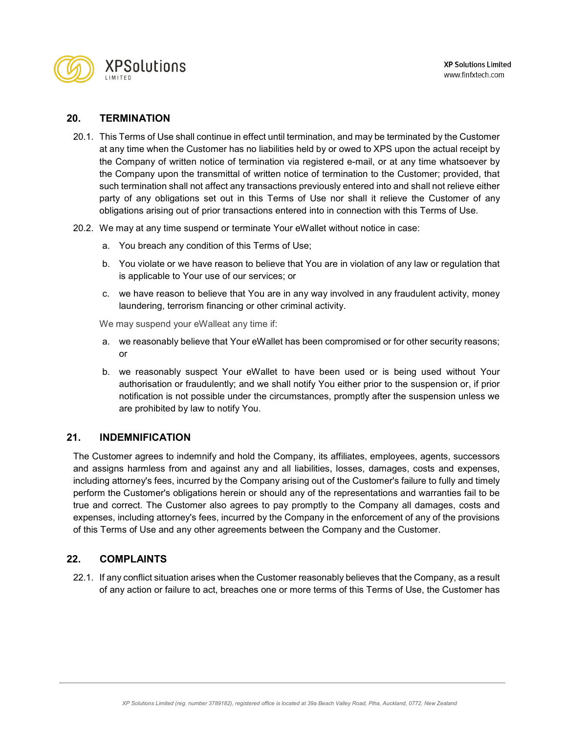

# **20. TERMINATION**

- 20.1. This Terms of Use shall continue in effect until termination, and may be terminated by the Customer at any time when the Customer has no liabilities held by or owed to XPS upon the actual receipt by the Company of written notice of termination via registered e-mail, or at any time whatsoever by the Company upon the transmittal of written notice of termination to the Customer; provided, that such termination shall not affect any transactions previously entered into and shall not relieve either party of any obligations set out in this Terms of Use nor shall it relieve the Customer of any obligations arising out of prior transactions entered into in connection with this Terms of Use.
- 20.2. We may at any time suspend or terminate Your eWallet without notice in case:
	- a. You breach any condition of this Terms of Use;
	- b. You violate or we have reason to believe that You are in violation of any law or regulation that is applicable to Your use of our services; or
	- c. we have reason to believe that You are in any way involved in any fraudulent activity, money laundering, terrorism financing or other criminal activity.

We may suspend your eWalleat any time if:

- a. we reasonably believe that Your eWallet has been compromised or for other security reasons; or
- b. we reasonably suspect Your eWallet to have been used or is being used without Your authorisation or fraudulently; and we shall notify You either prior to the suspension or, if prior notification is not possible under the circumstances, promptly after the suspension unless we are prohibited by law to notify You.

# **21. INDEMNIFICATION**

The Customer agrees to indemnify and hold the Company, its affiliates, employees, agents, successors and assigns harmless from and against any and all liabilities, losses, damages, costs and expenses, including attorney's fees, incurred by the Company arising out of the Customer's failure to fully and timely perform the Customer's obligations herein or should any of the representations and warranties fail to be true and correct. The Customer also agrees to pay promptly to the Company all damages, costs and expenses, including attorney's fees, incurred by the Company in the enforcement of any of the provisions of this Terms of Use and any other agreements between the Company and the Customer.

# **22. COMPLAINTS**

22.1. If any conflict situation arises when the Customer reasonably believes that the Company, as a result of any action or failure to act, breaches one or more terms of this Terms of Use, the Customer has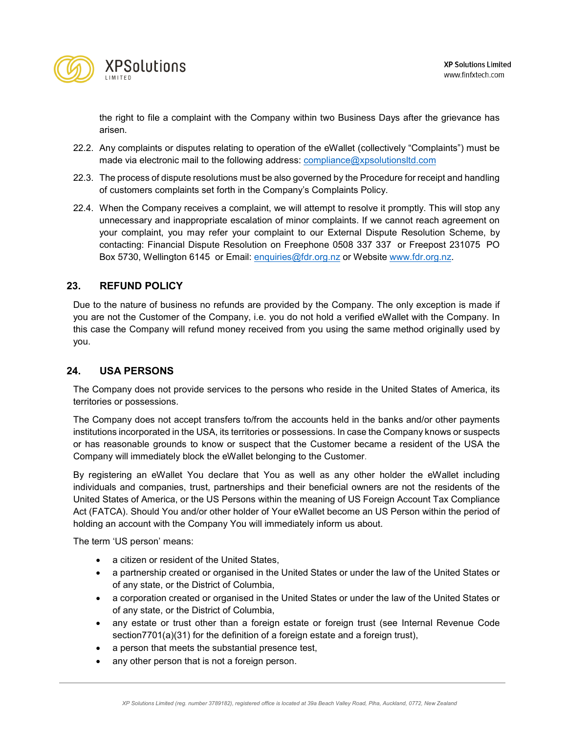

the right to file a complaint with the Company within two Business Days after the grievance has arisen.

- 22.2. Any complaints or disputes relating to operation of the eWallet (collectively "Complaints") must be made via electronic mail to the following address: [compliance@xpsolutionsltd.com](mailto:compliance@xpsolutionsltd.com)
- 22.3. The process of dispute resolutions must be also governed by the Procedure for receipt and handling of customers complaints set forth in the Company's Complaints Policy.
- 22.4. When the Company receives a complaint, we will attempt to resolve it promptly. This will stop any unnecessary and inappropriate escalation of minor complaints. If we cannot reach agreement on your complaint, you may refer your complaint to our External Dispute Resolution Scheme, by contacting: Financial Dispute Resolution on Freephone 0508 337 337 or Freepost 231075 PO Box 5730, Wellington 6145 or Email: [enquiries@fdr.org.nz](mailto:enquiries@fdr.org.nz) or Website [www.fdr.org.nz.](http://www.fdr.org.nz/)

# **23. REFUND POLICY**

Due to the nature of business no refunds are provided by the Company. The only exception is made if you are not the Customer of the Company, i.e. you do not hold a verified eWallet with the Company. In this case the Company will refund money received from you using the same method originally used by you.

# **24. USA PERSONS**

The Company does not provide services to the persons who reside in the United States of America, its territories or possessions.

The Company does not accept transfers to/from the accounts held in the banks and/or other payments institutions incorporated in the USA, its territories or possessions. In case the Company knows or suspects or has reasonable grounds to know or suspect that the Customer became a resident of the USA the Company will immediately block the eWallet belonging to the Customer.

By registering an eWallet You declare that You as well as any other holder the eWallet including individuals and companies, trust, partnerships and their beneficial owners are not the residents of the United States of America, or the US Persons within the meaning of US Foreign Account Tax Compliance Act (FATCA). Should You and/or other holder of Your eWallet become an US Person within the period of holding an account with the Company You will immediately inform us about.

The term 'US person' means:

- a citizen or resident of the United States,
- a partnership created or organised in the United States or under the law of the United States or of any state, or the District of Columbia,
- a corporation created or organised in the United States or under the law of the United States or of any state, or the District of Columbia,
- any estate or trust other than a foreign estate or foreign trust (see Internal Revenue Code section7701(a)(31) for the definition of a foreign estate and a foreign trust),
- a person that meets the substantial presence test,
- any other person that is not a foreign person.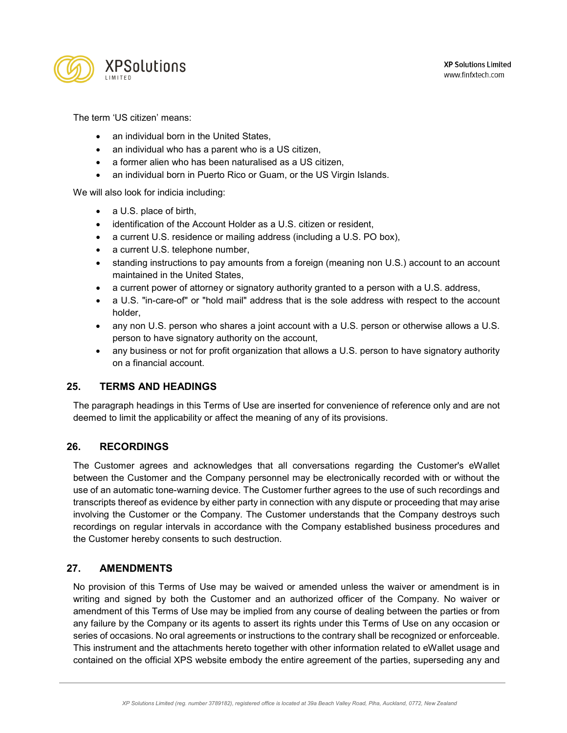

The term 'US citizen' means:

- an individual born in the United States.
- an individual who has a parent who is a US citizen,
- a former alien who has been naturalised as a US citizen,
- an individual born in Puerto Rico or Guam, or the US Virgin Islands.

We will also look for indicia including:

- a U.S. place of birth,
- identification of the Account Holder as a U.S. citizen or resident,
- a current U.S. residence or mailing address (including a U.S. PO box),
- a current U.S. telephone number,
- standing instructions to pay amounts from a foreign (meaning non U.S.) account to an account maintained in the United States,
- a current power of attorney or signatory authority granted to a person with a U.S. address,
- a U.S. "in-care-of" or "hold mail" address that is the sole address with respect to the account holder,
- any non U.S. person who shares a joint account with a U.S. person or otherwise allows a U.S. person to have signatory authority on the account,
- any business or not for profit organization that allows a U.S. person to have signatory authority on a financial account.

# **25. TERMS AND HEADINGS**

The paragraph headings in this Terms of Use are inserted for convenience of reference only and are not deemed to limit the applicability or affect the meaning of any of its provisions.

# **26. RECORDINGS**

The Customer agrees and acknowledges that all conversations regarding the Customer's eWallet between the Customer and the Company personnel may be electronically recorded with or without the use of an automatic tone-warning device. The Customer further agrees to the use of such recordings and transcripts thereof as evidence by either party in connection with any dispute or proceeding that may arise involving the Customer or the Company. The Customer understands that the Company destroys such recordings on regular intervals in accordance with the Company established business procedures and the Customer hereby consents to such destruction.

# **27. AMENDMENTS**

No provision of this Terms of Use may be waived or amended unless the waiver or amendment is in writing and signed by both the Customer and an authorized officer of the Company. No waiver or amendment of this Terms of Use may be implied from any course of dealing between the parties or from any failure by the Company or its agents to assert its rights under this Terms of Use on any occasion or series of occasions. No oral agreements or instructions to the contrary shall be recognized or enforceable. This instrument and the attachments hereto together with other information related to eWallet usage and contained on the official XPS website embody the entire agreement of the parties, superseding any and